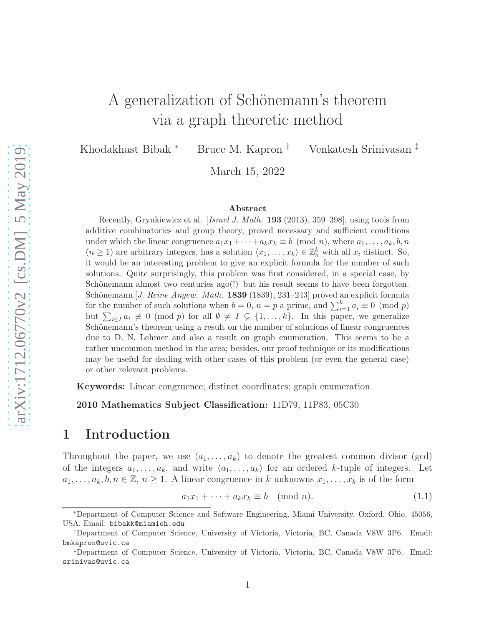# A generalization of Schönemann's theorem via a graph theoretic method

Khodakhast Bibak <sup>∗</sup> Bruce M. Kapron † Venkatesh Srinivasan ‡

March 15, 2022

#### Abstract

Recently, Grynkiewicz et al. [Israel J. Math. 193 (2013), 359–398], using tools from additive combinatorics and group theory, proved necessary and sufficient conditions under which the linear congruence  $a_1x_1+\cdots+a_kx_k \equiv b \pmod{n}$ , where  $a_1,\ldots,a_k,b,n$  $(n \geq 1)$  are arbitrary integers, has a solution  $\langle x_1, \ldots, x_k \rangle \in \mathbb{Z}_n^k$  with all  $x_i$  distinct. So, it would be an interesting problem to give an explicit formula for the number of such solutions. Quite surprisingly, this problem was first considered, in a special case, by Schönemann almost two centuries  $a\text{go}(\cdot)$  but his result seems to have been forgotten. Schönemann [J. Reine Angew. Math. 1839 (1839), 231–243] proved an explicit formula for the number of such solutions when  $b = 0$ ,  $n = p$  a prime, and  $\sum_{i=1}^{k} a_i \equiv 0 \pmod{p}$ but  $\sum_{i\in I} a_i \not\equiv 0 \pmod{p}$  for all  $\emptyset \neq I \subsetneq \{1,\ldots,k\}$ . In this paper, we generalize Schönemann's theorem using a result on the number of solutions of linear congruences due to D. N. Lehmer and also a result on graph enumeration. This seems to be a rather uncommon method in the area; besides, our proof technique or its modifications may be useful for dealing with other cases of this problem (or even the general case) or other relevant problems.

Keywords: Linear congruence; distinct coordinates; graph enumeration

2010 Mathematics Subject Classification: 11D79, 11P83, 05C30

### 1 Introduction

Throughout the paper, we use  $(a_1, \ldots, a_k)$  to denote the greatest common divisor (gcd) of the integers  $a_1, \ldots, a_k$ , and write  $\langle a_1, \ldots, a_k \rangle$  for an ordered k-tuple of integers. Let  $a_1, \ldots, a_k, b, n \in \mathbb{Z}, n \geq 1$ . A linear congruence in k unknowns  $x_1, \ldots, x_k$  is of the form

<span id="page-0-0"></span>
$$
a_1 x_1 + \dots + a_k x_k \equiv b \pmod{n}.
$$
 (1.1)

<sup>∗</sup>Department of Computer Science and Software Engineering, Miami University, Oxford, Ohio, 45056, USA. Email: bibakk@miamioh.edu

<sup>†</sup>Department of Computer Science, University of Victoria, Victoria, BC, Canada V8W 3P6. Email: bmkapron@uvic.ca

<sup>‡</sup>Department of Computer Science, University of Victoria, Victoria, BC, Canada V8W 3P6. Email: srinivas@uvic.ca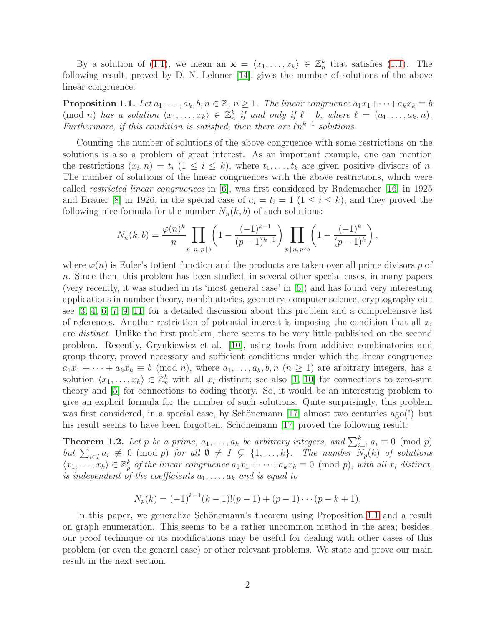By a solution of [\(1.1\)](#page-0-0), we mean an  $\mathbf{x} = \langle x_1, \ldots, x_k \rangle \in \mathbb{Z}_n^k$  that satisfies (1.1). The following result, proved by D. N. Lehmer [\[14\]](#page-6-0), gives the number of solutions of the above linear congruence:

<span id="page-1-0"></span>**Proposition 1.1.** Let  $a_1, \ldots, a_k, b, n \in \mathbb{Z}, n \geq 1$ . The linear congruence  $a_1x_1 + \cdots + a_kx_k \equiv b$  $p(\text{mod } n)$  has a solution  $\langle x_1, \ldots, x_k \rangle \in \mathbb{Z}_n^k$  if and only if  $\ell \mid b$ , where  $\ell = (a_1, \ldots, a_k, n)$ . Furthermore, if this condition is satisfied, then there are  $\ell n^{k-1}$  solutions.

Counting the number of solutions of the above congruence with some restrictions on the solutions is also a problem of great interest. As an important example, one can mention the restrictions  $(x_i, n) = t_i$   $(1 \leq i \leq k)$ , where  $t_1, \ldots, t_k$  are given positive divisors of n. The number of solutions of the linear congruences with the above restrictions, which were called restricted linear congruences in [\[6\]](#page-5-0), was first considered by Rademacher [\[16\]](#page-6-1) in 1925 and Brauer [\[8\]](#page-6-2) in 1926, in the special case of  $a_i = t_i = 1$   $(1 \le i \le k)$ , and they proved the following nice formula for the number  $N_n(k, b)$  of such solutions:

$$
N_n(k,b) = \frac{\varphi(n)^k}{n} \prod_{p \mid n, p \mid b} \left( 1 - \frac{(-1)^{k-1}}{(p-1)^{k-1}} \right) \prod_{p \mid n, p \nmid b} \left( 1 - \frac{(-1)^k}{(p-1)^k} \right),
$$

where  $\varphi(n)$  is Euler's totient function and the products are taken over all prime divisors p of n. Since then, this problem has been studied, in several other special cases, in many papers (very recently, it was studied in its 'most general case' in [\[6\]](#page-5-0)) and has found very interesting applications in number theory, combinatorics, geometry, computer science, cryptography etc; see [\[3,](#page-5-1) [4,](#page-5-2) [6,](#page-5-0) [7,](#page-6-3) [9,](#page-6-4) [11\]](#page-6-5) for a detailed discussion about this problem and a comprehensive list of references. Another restriction of potential interest is imposing the condition that all  $x_i$ are *distinct*. Unlike the first problem, there seems to be very little published on the second problem. Recently, Grynkiewicz et al. [\[10\]](#page-6-6), using tools from additive combinatorics and group theory, proved necessary and sufficient conditions under which the linear congruence  $a_1x_1 + \cdots + a_kx_k \equiv b \pmod{n}$ , where  $a_1, \ldots, a_k, b, n \ (n \geq 1)$  are arbitrary integers, has a solution  $\langle x_1, \ldots, x_k \rangle \in \mathbb{Z}_n^k$  with all  $x_i$  distinct; see also [\[1,](#page-5-3) [10\]](#page-6-6) for connections to zero-sum theory and [\[5\]](#page-5-4) for connections to coding theory. So, it would be an interesting problem to give an explicit formula for the number of such solutions. Quite surprisingly, this problem was first considered, in a special case, by Schönemann [\[17\]](#page-6-7) almost two centuries ago(!) but his result seems to have been forgotten. Schönemann [\[17\]](#page-6-7) proved the following result:

**Theorem 1.2.** Let p be a prime,  $a_1, \ldots, a_k$  be arbitrary integers, and  $\sum_{i=1}^k a_i \equiv 0 \pmod{p}$ but  $\sum_{i\in I} a_i \not\equiv 0 \pmod{p}$  for all  $\emptyset \neq I \subsetneq \{1,\ldots,k\}$ . The number  $N_p(k)$  of solutions  $\langle x_1, \ldots, x_k \rangle \in \mathbb{Z}_p^k$  of the linear congruence  $a_1x_1 + \cdots + a_kx_k \equiv 0 \pmod{p}$ , with all  $x_i$  distinct, is independent of the coefficients  $a_1, \ldots, a_k$  and is equal to

$$
N_p(k) = (-1)^{k-1}(k-1)!(p-1) + (p-1)\cdots(p-k+1).
$$

In this paper, we generalize Schönemann's theorem using Proposition [1.1](#page-1-0) and a result on graph enumeration. This seems to be a rather uncommon method in the area; besides, our proof technique or its modifications may be useful for dealing with other cases of this problem (or even the general case) or other relevant problems. We state and prove our main result in the next section.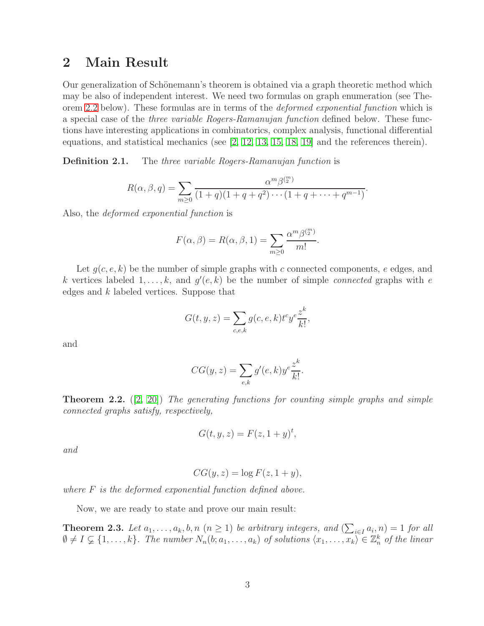#### 2 Main Result

Our generalization of Schönemann's theorem is obtained via a graph theoretic method which may be also of independent interest. We need two formulas on graph enumeration (see The-orem [2.2](#page-2-0) below). These formulas are in terms of the *deformed exponential function* which is a special case of the three variable Rogers-Ramanujan function defined below. These functions have interesting applications in combinatorics, complex analysis, functional differential equations, and statistical mechanics (see  $[2, 12, 13, 15, 18, 19]$  $[2, 12, 13, 15, 18, 19]$  $[2, 12, 13, 15, 18, 19]$  $[2, 12, 13, 15, 18, 19]$  $[2, 12, 13, 15, 18, 19]$  $[2, 12, 13, 15, 18, 19]$  and the references therein).

**Definition 2.1.** The three variable Rogers-Ramanujan function is

$$
R(\alpha, \beta, q) = \sum_{m \geq 0} \frac{\alpha^m \beta^{(m)}}{(1+q)(1+q+q^2)\cdots(1+q+\cdots+q^{m-1})}.
$$

Also, the deformed exponential function is

$$
F(\alpha, \beta) = R(\alpha, \beta, 1) = \sum_{m \ge 0} \frac{\alpha^m \beta^{(m)}_2}{m!}.
$$

Let  $g(c, e, k)$  be the number of simple graphs with c connected components, e edges, and k vertices labeled  $1, \ldots, k$ , and  $g'(e, k)$  be the number of simple *connected* graphs with e edges and k labeled vertices. Suppose that

$$
G(t, y, z) = \sum_{c, e, k} g(c, e, k) t^c y^e \frac{z^k}{k!},
$$

and

$$
CG(y, z) = \sum_{e,k} g'(e,k) y^e \frac{z^k}{k!}.
$$

<span id="page-2-0"></span>**Theorem 2.2.**  $([2, 20])$  $([2, 20])$  $([2, 20])$  $([2, 20])$  The generating functions for counting simple graphs and simple connected graphs satisfy, respectively,

$$
G(t, y, z) = F(z, 1 + y)^t,
$$

and

$$
CG(y, z) = \log F(z, 1 + y),
$$

where  $F$  is the deformed exponential function defined above.

Now, we are ready to state and prove our main result:

<span id="page-2-1"></span>**Theorem 2.3.** Let  $a_1, \ldots, a_k, b, n \ (n \geq 1)$  be arbitrary integers, and  $(\sum_{i \in I} a_i, n) = 1$  for all  $\emptyset \neq I \subsetneq \{1,\ldots,k\}$ . The number  $N_n(b; a_1,\ldots,a_k)$  of solutions  $\langle x_1,\ldots,x_k \rangle \in \mathbb{Z}_n^k$  of the linear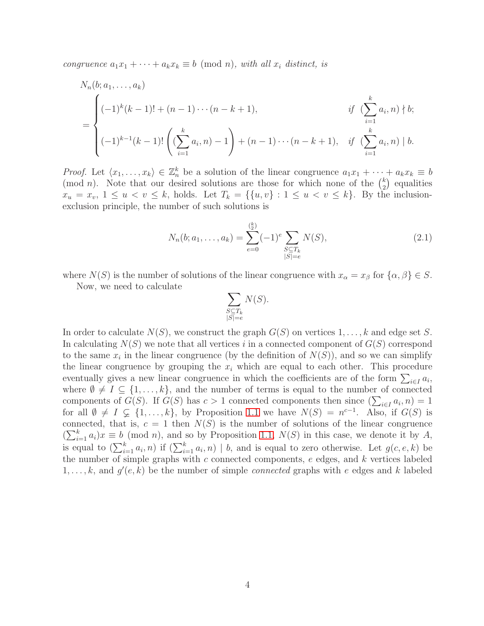congruence  $a_1x_1 + \cdots + a_kx_k \equiv b \pmod{n}$ , with all  $x_i$  distinct, is

$$
N_n(b;a_1,\ldots,a_k)
$$
  
= 
$$
\begin{cases} (-1)^k(k-1)! + (n-1)\cdots(n-k+1), & \text{if } \left(\sum_{i=1}^k a_i, n\right) \nmid b; \\ (-1)^{k-1}(k-1)! \left(\left(\sum_{i=1}^k a_i, n\right) - 1\right) + (n-1)\cdots(n-k+1), & \text{if } \left(\sum_{i=1}^k a_i, n\right) \mid b. \end{cases}
$$

*Proof.* Let  $\langle x_1, \ldots, x_k \rangle \in \mathbb{Z}_n^k$  be a solution of the linear congruence  $a_1x_1 + \cdots + a_kx_k \equiv b$ (mod *n*). Note that our desired solutions are those for which none of the  $\binom{k}{2}$  $_{2}^{k}$ ) equalities  $x_u = x_v, 1 \le u < v \le k$ , holds. Let  $T_k = \{\{u, v\} : 1 \le u < v \le k\}$ . By the inclusionexclusion principle, the number of such solutions is

$$
N_n(b; a_1, \dots, a_k) = \sum_{e=0}^{\binom{k}{2}} (-1)^e \sum_{\substack{S \subseteq T_k \\ |S| = e}} N(S), \tag{2.1}
$$

where  $N(S)$  is the number of solutions of the linear congruence with  $x_{\alpha} = x_{\beta}$  for  $\{\alpha, \beta\} \in S$ .

Now, we need to calculate

<span id="page-3-0"></span>
$$
\sum_{\substack{S \subseteq T_k \\ |S| = e}} N(S).
$$

In order to calculate  $N(S)$ , we construct the graph  $G(S)$  on vertices  $1, \ldots, k$  and edge set S. In calculating  $N(S)$  we note that all vertices i in a connected component of  $G(S)$  correspond to the same  $x_i$  in the linear congruence (by the definition of  $N(S)$ ), and so we can simplify the linear congruence by grouping the  $x_i$  which are equal to each other. This procedure eventually gives a new linear congruence in which the coefficients are of the form  $\sum_{i\in I} a_i$ , where  $\emptyset \neq I \subseteq \{1, ..., k\}$ , and the number of terms is equal to the number of connected components of  $G(S)$ . If  $G(S)$  has  $c > 1$  connected components then since  $(\sum_{i \in I} a_i, n) = 1$ for all  $\emptyset \neq I \subsetneq \{1,\ldots,k\}$ , by Proposition [1.1](#page-1-0) we have  $N(S) = n^{c-1}$ . Also, if  $G(S)$  is connected, that is,  $c = 1$  then  $N(S)$  is the number of solutions of the linear congruence  $(\sum_{i=1}^{k} a_i)x \equiv b \pmod{n}$ , and so by Proposition [1.1,](#page-1-0)  $N(S)$  in this case, we denote it by A, is equal to  $(\sum_{i=1}^k a_i, n)$  if  $(\sum_{i=1}^k a_i, n) \mid b$ , and is equal to zero otherwise. Let  $g(c, e, k)$  be the number of simple graphs with  $c$  connected components,  $e$  edges, and  $k$  vertices labeled  $1, \ldots, k$ , and  $g'(e, k)$  be the number of simple *connected* graphs with e edges and k labeled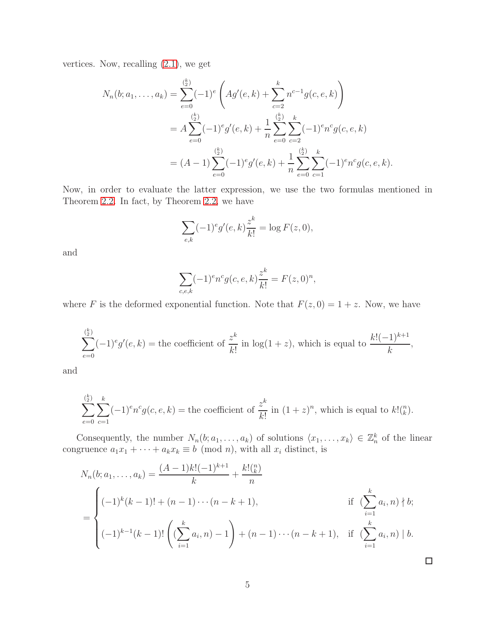vertices. Now, recalling  $(2.1)$ , we get

$$
N_n(b;a_1,\ldots,a_k) = \sum_{e=0}^{\binom{k}{2}} (-1)^e \left( Ag'(e,k) + \sum_{c=2}^k n^{c-1} g(c,e,k) \right)
$$
  
=  $A \sum_{e=0}^{\binom{k}{2}} (-1)^e g'(e,k) + \frac{1}{n} \sum_{e=0}^{\binom{k}{2}} \sum_{c=2}^k (-1)^e n^c g(c,e,k)$   
=  $(A-1) \sum_{e=0}^{\binom{k}{2}} (-1)^e g'(e,k) + \frac{1}{n} \sum_{e=0}^{\binom{k}{2}} \sum_{c=1}^k (-1)^e n^c g(c,e,k).$ 

Now, in order to evaluate the latter expression, we use the two formulas mentioned in Theorem [2.2.](#page-2-0) In fact, by Theorem [2.2,](#page-2-0) we have

$$
\sum_{e,k} (-1)^e g'(e,k) \frac{z^k}{k!} = \log F(z,0),
$$

and

$$
\sum_{c,e,k} (-1)^e n^c g(c,e,k) \frac{z^k}{k!} = F(z,0)^n,
$$

where F is the deformed exponential function. Note that  $F(z, 0) = 1 + z$ . Now, we have

$$
\sum_{e=0}^{\binom{k}{2}} (-1)^e g'(e,k) = \text{the coefficient of } \frac{z^k}{k!} \text{ in } \log(1+z), \text{ which is equal to } \frac{k!(-1)^{k+1}}{k},
$$

and

$$
\sum_{e=0}^{\binom{k}{2}} \sum_{c=1}^{k} (-1)^e n^c g(c, e, k) =
$$
 the coefficient of  $\frac{z^k}{k!}$  in  $(1+z)^n$ , which is equal to  $k! \binom{n}{k}$ .

Consequently, the number  $N_n(b; a_1, \ldots, a_k)$  of solutions  $\langle x_1, \ldots, x_k \rangle \in \mathbb{Z}_n^k$  of the linear congruence  $a_1x_1 + \cdots + a_kx_k \equiv b \pmod{n}$ , with all  $x_i$  distinct, is

$$
N_n(b; a_1, ..., a_k) = \frac{(A-1)k!(-1)^{k+1}}{k} + \frac{k! \binom{n}{k}}{n}
$$
  
= 
$$
\begin{cases} (-1)^k (k-1)! + (n-1) \cdots (n-k+1), & \text{if } \left( \sum_{i=1}^k a_i, n \right) \nmid b; \\ (-1)^{k-1} (k-1)! \left( \left( \sum_{i=1}^k a_i, n \right) - 1 \right) + (n-1) \cdots (n-k+1), & \text{if } \left( \sum_{i=1}^k a_i, n \right) \mid b. \end{cases}
$$

 $\Box$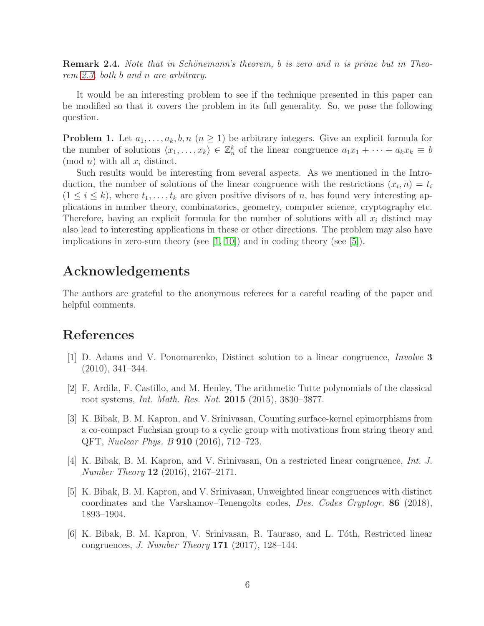**Remark 2.4.** Note that in Schönemann's theorem, b is zero and n is prime but in Theorem [2.3,](#page-2-1) both b and n are arbitrary.

It would be an interesting problem to see if the technique presented in this paper can be modified so that it covers the problem in its full generality. So, we pose the following question.

**Problem 1.** Let  $a_1, \ldots, a_k, b, n \ (n \geq 1)$  be arbitrary integers. Give an explicit formula for the number of solutions  $\langle x_1, \ldots, x_k \rangle \in \mathbb{Z}_n^k$  of the linear congruence  $a_1x_1 + \cdots + a_kx_k \equiv b$  $\pmod{n}$  with all  $x_i$  distinct.

Such results would be interesting from several aspects. As we mentioned in the Introduction, the number of solutions of the linear congruence with the restrictions  $(x_i, n) = t_i$  $(1 \leq i \leq k)$ , where  $t_1, \ldots, t_k$  are given positive divisors of n, has found very interesting applications in number theory, combinatorics, geometry, computer science, cryptography etc. Therefore, having an explicit formula for the number of solutions with all  $x_i$  distinct may also lead to interesting applications in these or other directions. The problem may also have implications in zero-sum theory (see  $(1, 10)$ ) and in coding theory (see  $(5)$ ).

### Acknowledgements

The authors are grateful to the anonymous referees for a careful reading of the paper and helpful comments.

## <span id="page-5-3"></span>References

- <span id="page-5-5"></span>[1] D. Adams and V. Ponomarenko, Distinct solution to a linear congruence, Involve 3 (2010), 341–344.
- <span id="page-5-1"></span>[2] F. Ardila, F. Castillo, and M. Henley, The arithmetic Tutte polynomials of the classical root systems, Int. Math. Res. Not. 2015 (2015), 3830–3877.
- [3] K. Bibak, B. M. Kapron, and V. Srinivasan, Counting surface-kernel epimorphisms from a co-compact Fuchsian group to a cyclic group with motivations from string theory and QFT, Nuclear Phys. B 910 (2016), 712–723.
- <span id="page-5-2"></span>[4] K. Bibak, B. M. Kapron, and V. Srinivasan, On a restricted linear congruence, Int. J. Number Theory  $12$  (2016), 2167–2171.
- <span id="page-5-4"></span>[5] K. Bibak, B. M. Kapron, and V. Srinivasan, Unweighted linear congruences with distinct coordinates and the Varshamov–Tenengolts codes, Des. Codes Cryptogr. 86 (2018), 1893–1904.
- <span id="page-5-0"></span>[6] K. Bibak, B. M. Kapron, V. Srinivasan, R. Tauraso, and L. Tóth, Restricted linear congruences, J. Number Theory 171 (2017), 128–144.